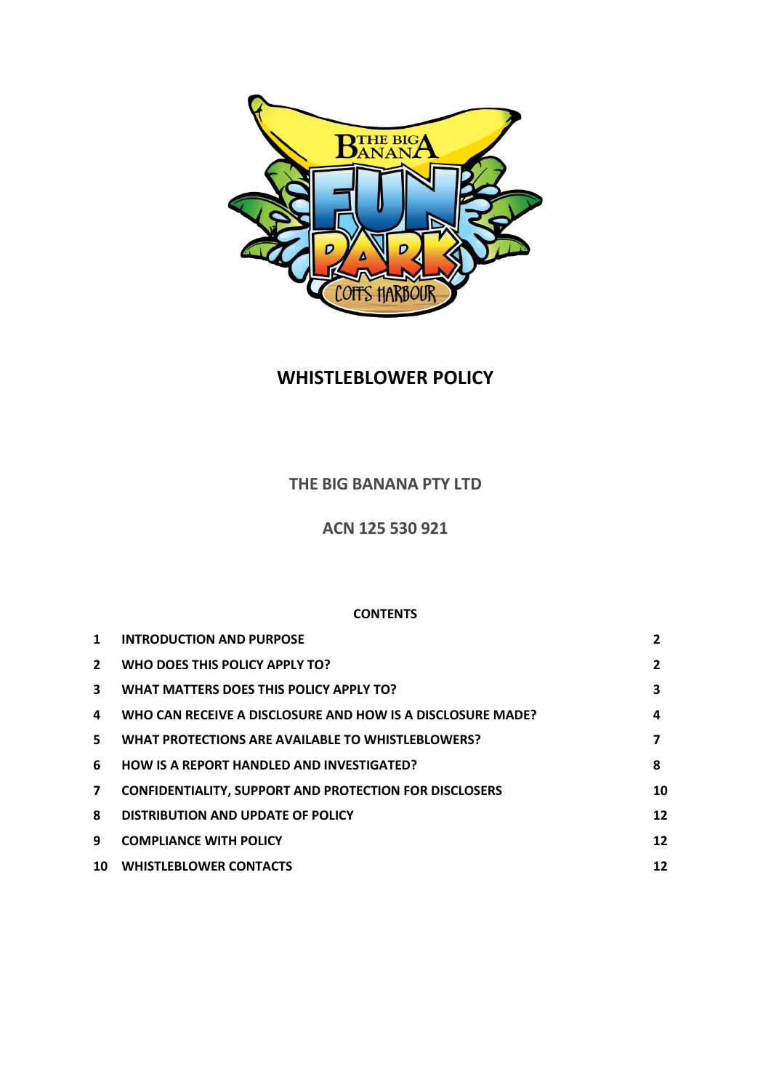

# **WHISTLEBLOWER POLICY**

## **THE BIG BANANA PTY LTD**

**ACN 125 530 921**

## **CONTENTS**

| 1            | <b>INTRODUCTION AND PURPOSE</b>                               | $\overline{2}$ |
|--------------|---------------------------------------------------------------|----------------|
| $\mathbf{2}$ | WHO DOES THIS POLICY APPLY TO?                                | 2              |
| 3.           | WHAT MATTERS DOES THIS POLICY APPLY TO?                       | 3              |
| 4            | WHO CAN RECEIVE A DISCLOSURE AND HOW IS A DISCLOSURE MADE?    | 4              |
| 5.           | <b>WHAT PROTECTIONS ARE AVAILABLE TO WHISTLEBLOWERS?</b>      |                |
| 6            | <b>HOW IS A REPORT HANDLED AND INVESTIGATED?</b>              | 8              |
| 7            | <b>CONFIDENTIALITY, SUPPORT AND PROTECTION FOR DISCLOSERS</b> | 10             |
| 8            | DISTRIBUTION AND UPDATE OF POLICY                             | 12             |
| 9            | <b>COMPLIANCE WITH POLICY</b>                                 | 12             |
| 10           | <b>WHISTLEBLOWER CONTACTS</b>                                 | 12             |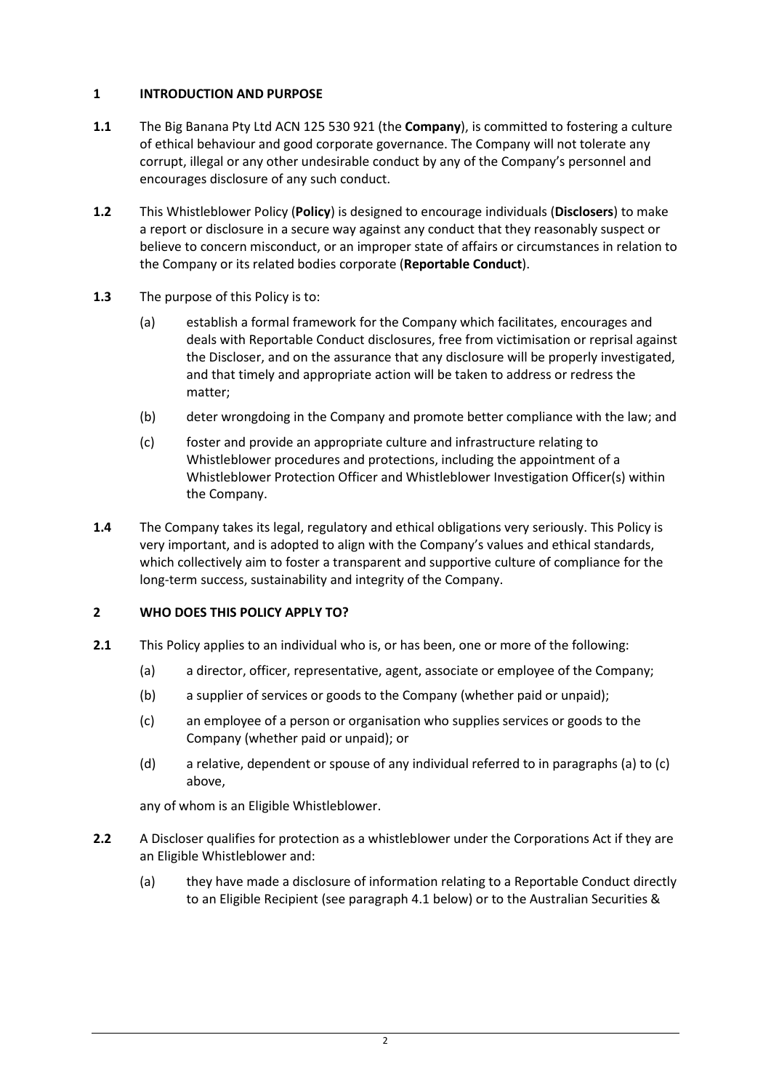## <span id="page-1-0"></span>**1 INTRODUCTION AND PURPOSE**

- **1.1** The Big Banana Pty Ltd ACN 125 530 921 (the **Company**), is committed to fostering a culture of ethical behaviour and good corporate governance. The Company will not tolerate any corrupt, illegal or any other undesirable conduct by any of the Company's personnel and encourages disclosure of any such conduct.
- **1.2** This Whistleblower Policy (**Policy**) is designed to encourage individuals (**Disclosers**) to make a report or disclosure in a secure way against any conduct that they reasonably suspect or believe to concern misconduct, or an improper state of affairs or circumstances in relation to the Company or its related bodies corporate (**Reportable Conduct**).
- **1.3** The purpose of this Policy is to:
	- (a) establish a formal framework for the Company which facilitates, encourages and deals with Reportable Conduct disclosures, free from victimisation or reprisal against the Discloser, and on the assurance that any disclosure will be properly investigated, and that timely and appropriate action will be taken to address or redress the matter;
	- (b) deter wrongdoing in the Company and promote better compliance with the law; and
	- (c) foster and provide an appropriate culture and infrastructure relating to Whistleblower procedures and protections, including the appointment of a Whistleblower Protection Officer and Whistleblower Investigation Officer(s) within the Company.
- **1.4** The Company takes its legal, regulatory and ethical obligations very seriously. This Policy is very important, and is adopted to align with the Company's values and ethical standards, which collectively aim to foster a transparent and supportive culture of compliance for the long-term success, sustainability and integrity of the Company.

## <span id="page-1-1"></span>**2 WHO DOES THIS POLICY APPLY TO?**

- <span id="page-1-3"></span><span id="page-1-2"></span>**2.1** This Policy applies to an individual who is, or has been, one or more of the following:
	- (a) a director, officer, representative, agent, associate or employee of the Company;
	- (b) a supplier of services or goods to the Company (whether paid or unpaid);
	- (c) an employee of a person or organisation who supplies services or goods to the Company (whether paid or unpaid); or
	- (d) a relative, dependent or spouse of any individual referred to in paragraph[s \(a\)](#page-1-2) to [\(c\)](#page-1-3) above,

any of whom is an Eligible Whistleblower.

- **2.2** A Discloser qualifies for protection as a whistleblower under the Corporations Act if they are an Eligible Whistleblower and:
	- (a) they have made a disclosure of information relating to a Reportable Conduct directly to an Eligible Recipient (see paragraph [4.1](#page-3-1) below) or to the Australian Securities &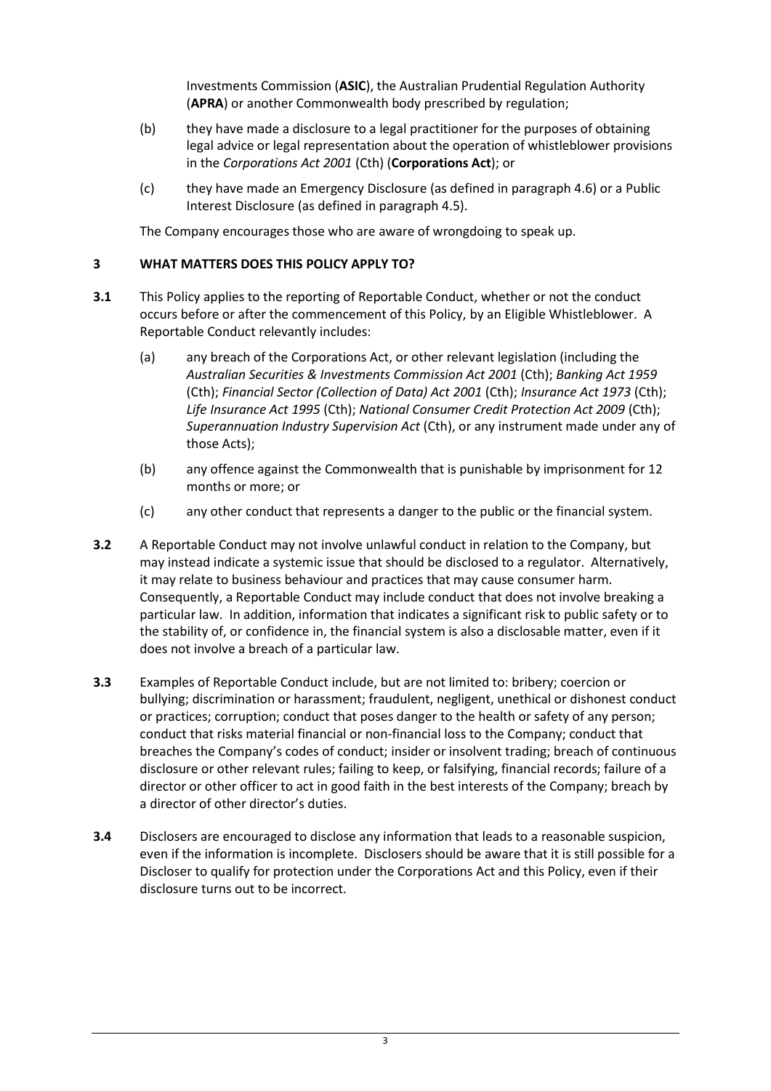Investments Commission (**ASIC**), the Australian Prudential Regulation Authority (**APRA**) or another Commonwealth body prescribed by regulation;

- (b) they have made a disclosure to a legal practitioner for the purposes of obtaining legal advice or legal representation about the operation of whistleblower provisions in the *Corporations Act 2001* (Cth) (**Corporations Act**); or
- (c) they have made an Emergency Disclosure (as defined in paragrap[h 4.6\)](#page-4-0) or a Public Interest Disclosure (as defined in paragraph [4.5\)](#page-4-1).

The Company encourages those who are aware of wrongdoing to speak up.

#### <span id="page-2-0"></span>**3 WHAT MATTERS DOES THIS POLICY APPLY TO?**

- **3.1** This Policy applies to the reporting of Reportable Conduct, whether or not the conduct occurs before or after the commencement of this Policy, by an Eligible Whistleblower. A Reportable Conduct relevantly includes:
	- (a) any breach of the Corporations Act, or other relevant legislation (including the *Australian Securities & Investments Commission Act 2001* (Cth); *Banking Act 1959* (Cth); *Financial Sector (Collection of Data) Act 2001* (Cth); *Insurance Act 1973* (Cth); *Life Insurance Act 1995* (Cth); *National Consumer Credit Protection Act 2009* (Cth); *Superannuation Industry Supervision Act* (Cth), or any instrument made under any of those Acts);
	- (b) any offence against the Commonwealth that is punishable by imprisonment for 12 months or more; or
	- (c) any other conduct that represents a danger to the public or the financial system.
- **3.2** A Reportable Conduct may not involve unlawful conduct in relation to the Company, but may instead indicate a systemic issue that should be disclosed to a regulator. Alternatively, it may relate to business behaviour and practices that may cause consumer harm. Consequently, a Reportable Conduct may include conduct that does not involve breaking a particular law. In addition, information that indicates a significant risk to public safety or to the stability of, or confidence in, the financial system is also a disclosable matter, even if it does not involve a breach of a particular law.
- **3.3** Examples of Reportable Conduct include, but are not limited to: bribery; coercion or bullying; discrimination or harassment; fraudulent, negligent, unethical or dishonest conduct or practices; corruption; conduct that poses danger to the health or safety of any person; conduct that risks material financial or non-financial loss to the Company; conduct that breaches the Company's codes of conduct; insider or insolvent trading; breach of continuous disclosure or other relevant rules; failing to keep, or falsifying, financial records; failure of a director or other officer to act in good faith in the best interests of the Company; breach by a director of other director's duties.
- **3.4** Disclosers are encouraged to disclose any information that leads to a reasonable suspicion, even if the information is incomplete. Disclosers should be aware that it is still possible for a Discloser to qualify for protection under the Corporations Act and this Policy, even if their disclosure turns out to be incorrect.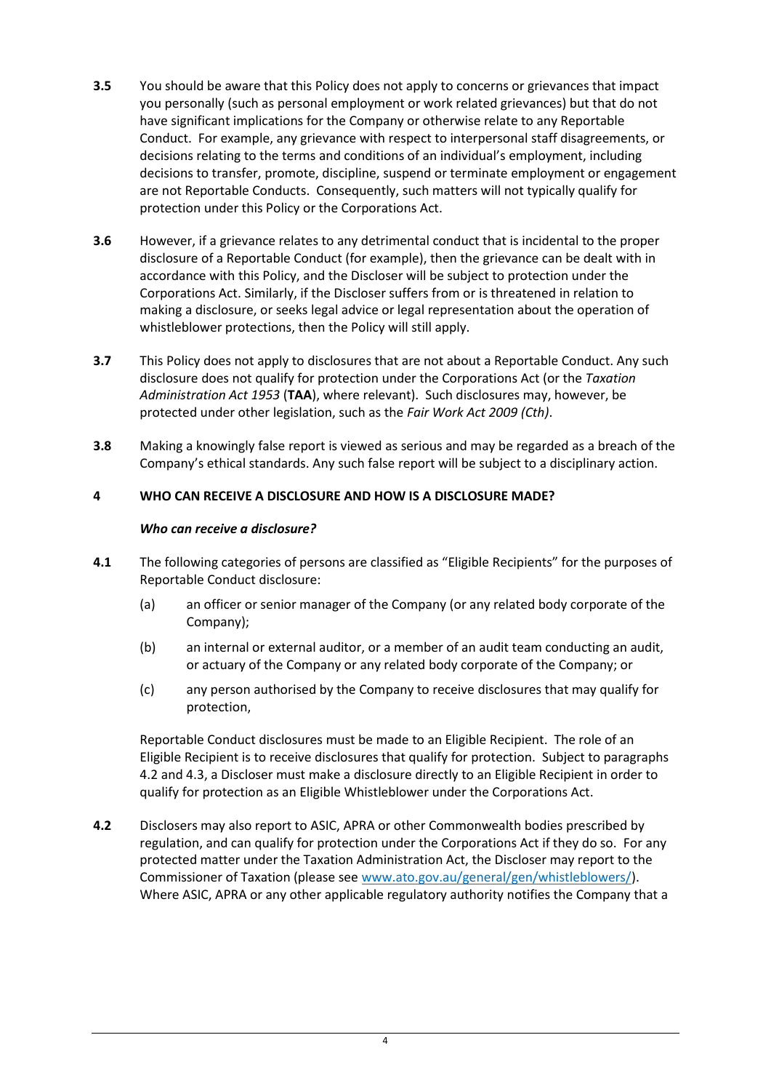- **3.5** You should be aware that this Policy does not apply to concerns or grievances that impact you personally (such as personal employment or work related grievances) but that do not have significant implications for the Company or otherwise relate to any Reportable Conduct. For example, any grievance with respect to interpersonal staff disagreements, or decisions relating to the terms and conditions of an individual's employment, including decisions to transfer, promote, discipline, suspend or terminate employment or engagement are not Reportable Conducts. Consequently, such matters will not typically qualify for protection under this Policy or the Corporations Act.
- **3.6** However, if a grievance relates to any detrimental conduct that is incidental to the proper disclosure of a Reportable Conduct (for example), then the grievance can be dealt with in accordance with this Policy, and the Discloser will be subject to protection under the Corporations Act. Similarly, if the Discloser suffers from or is threatened in relation to making a disclosure, or seeks legal advice or legal representation about the operation of whistleblower protections, then the Policy will still apply.
- **3.7** This Policy does not apply to disclosures that are not about a Reportable Conduct. Any such disclosure does not qualify for protection under the Corporations Act (or the *Taxation Administration Act 1953* (**TAA**), where relevant). Such disclosures may, however, be protected under other legislation, such as the *Fair Work Act 2009 (Cth)*.
- **3.8** Making a knowingly false report is viewed as serious and may be regarded as a breach of the Company's ethical standards. Any such false report will be subject to a disciplinary action.

## <span id="page-3-0"></span>**4 WHO CAN RECEIVE A DISCLOSURE AND HOW IS A DISCLOSURE MADE?**

#### *Who can receive a disclosure?*

- <span id="page-3-1"></span>**4.1** The following categories of persons are classified as "Eligible Recipients" for the purposes of Reportable Conduct disclosure:
	- (a) an officer or senior manager of the Company (or any related body corporate of the Company);
	- (b) an internal or external auditor, or a member of an audit team conducting an audit, or actuary of the Company or any related body corporate of the Company; or
	- (c) any person authorised by the Company to receive disclosures that may qualify for protection,

Reportable Conduct disclosures must be made to an Eligible Recipient.The role of an Eligible Recipient is to receive disclosures that qualify for protection. Subject to paragraphs [4.2](#page-3-2) an[d 4.3,](#page-4-2) a Discloser must make a disclosure directly to an Eligible Recipient in order to qualify for protection as an Eligible Whistleblower under the Corporations Act.

<span id="page-3-2"></span>**4.2** Disclosers may also report to ASIC, APRA or other Commonwealth bodies prescribed by regulation, and can qualify for protection under the Corporations Act if they do so. For any protected matter under the Taxation Administration Act, the Discloser may report to the Commissioner of Taxation (please see [www.ato.gov.au/general/gen/whistleblowers/\)](http://www.ato.gov.au/general/gen/whistleblowers/). Where ASIC, APRA or any other applicable regulatory authority notifies the Company that a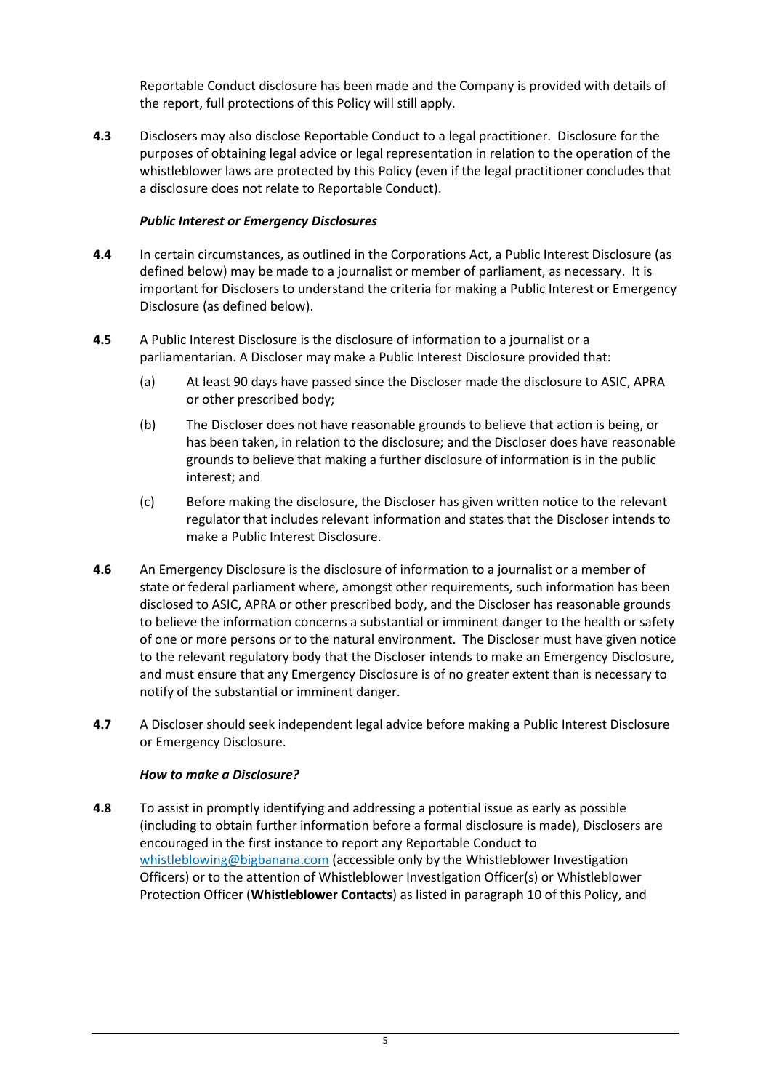Reportable Conduct disclosure has been made and the Company is provided with details of the report, full protections of this Policy will still apply.

<span id="page-4-2"></span>**4.3** Disclosers may also disclose Reportable Conduct to a legal practitioner. Disclosure for the purposes of obtaining legal advice or legal representation in relation to the operation of the whistleblower laws are protected by this Policy (even if the legal practitioner concludes that a disclosure does not relate to Reportable Conduct).

#### *Public Interest or Emergency Disclosures*

- **4.4** In certain circumstances, as outlined in the Corporations Act, a Public Interest Disclosure (as defined below) may be made to a journalist or member of parliament, as necessary. It is important for Disclosers to understand the criteria for making a Public Interest or Emergency Disclosure (as defined below).
- <span id="page-4-1"></span>**4.5** A Public Interest Disclosure is the disclosure of information to a journalist or a parliamentarian. A Discloser may make a Public Interest Disclosure provided that:
	- (a) At least 90 days have passed since the Discloser made the disclosure to ASIC, APRA or other prescribed body;
	- (b) The Discloser does not have reasonable grounds to believe that action is being, or has been taken, in relation to the disclosure; and the Discloser does have reasonable grounds to believe that making a further disclosure of information is in the public interest; and
	- (c) Before making the disclosure, the Discloser has given written notice to the relevant regulator that includes relevant information and states that the Discloser intends to make a Public Interest Disclosure.
- <span id="page-4-0"></span>**4.6** An Emergency Disclosure is the disclosure of information to a journalist or a member of state or federal parliament where, amongst other requirements, such information has been disclosed to ASIC, APRA or other prescribed body, and the Discloser has reasonable grounds to believe the information concerns a substantial or imminent danger to the health or safety of one or more persons or to the natural environment. The Discloser must have given notice to the relevant regulatory body that the Discloser intends to make an Emergency Disclosure, and must ensure that any Emergency Disclosure is of no greater extent than is necessary to notify of the substantial or imminent danger.
- **4.7** A Discloser should seek independent legal advice before making a Public Interest Disclosure or Emergency Disclosure.

#### *How to make a Disclosure?*

**4.8** To assist in promptly identifying and addressing a potential issue as early as possible (including to obtain further information before a formal disclosure is made), Disclosers are encouraged in the first instance to report any Reportable Conduct to [whistleblowing@bigbanana.com](mailto:whistleblowing@bigbanana.com) (accessible only by the Whistleblower Investigation Officers) or to the attention of Whistleblower Investigation Officer(s) or Whistleblower Protection Officer (**Whistleblower Contacts**) as listed in paragraph [10](#page-11-2) of this Policy, and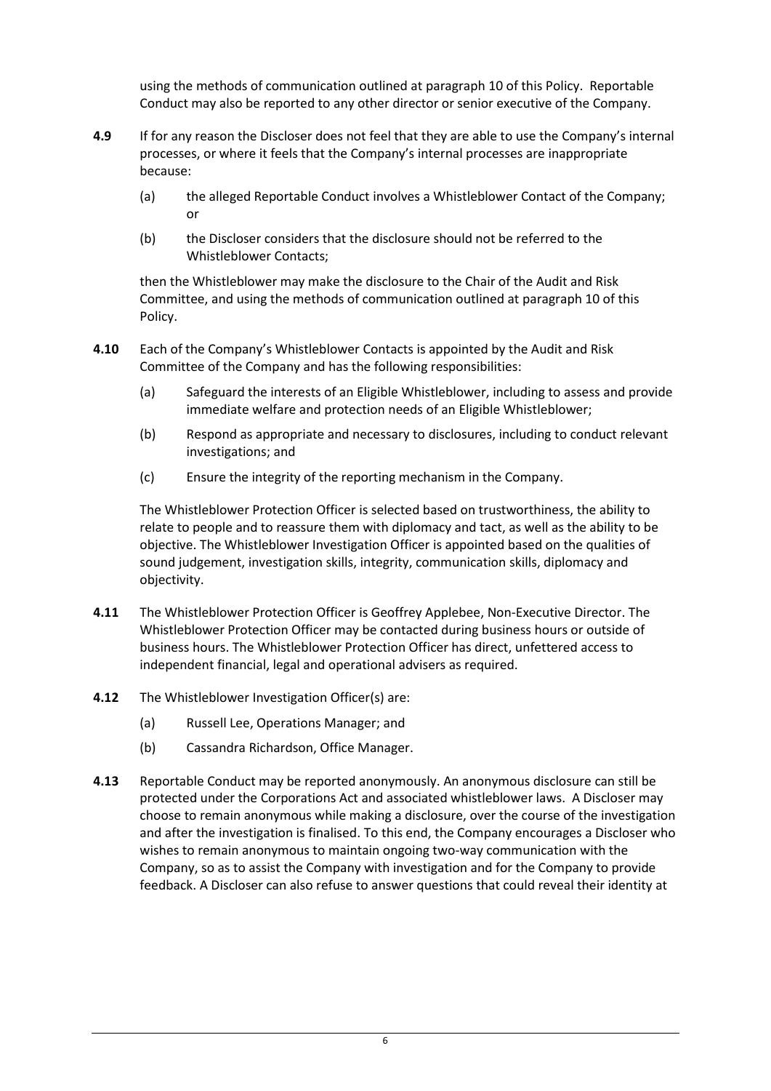using the methods of communication outlined at paragraph [10](#page-11-2) of this Policy. Reportable Conduct may also be reported to any other director or senior executive of the Company.

- **4.9** If for any reason the Discloser does not feel that they are able to use the Company's internal processes, or where it feels that the Company's internal processes are inappropriate because:
	- (a) the alleged Reportable Conduct involves a Whistleblower Contact of the Company; or
	- (b) the Discloser considers that the disclosure should not be referred to the Whistleblower Contacts;

then the Whistleblower may make the disclosure to the Chair of the Audit and Risk Committee, and using the methods of communication outlined at paragraph [10](#page-11-2) of this Policy.

- **4.10** Each of the Company's Whistleblower Contacts is appointed by the Audit and Risk Committee of the Company and has the following responsibilities:
	- (a) Safeguard the interests of an Eligible Whistleblower, including to assess and provide immediate welfare and protection needs of an Eligible Whistleblower;
	- (b) Respond as appropriate and necessary to disclosures, including to conduct relevant investigations; and
	- (c) Ensure the integrity of the reporting mechanism in the Company.

The Whistleblower Protection Officer is selected based on trustworthiness, the ability to relate to people and to reassure them with diplomacy and tact, as well as the ability to be objective. The Whistleblower Investigation Officer is appointed based on the qualities of sound judgement, investigation skills, integrity, communication skills, diplomacy and objectivity.

- **4.11** The Whistleblower Protection Officer is Geoffrey Applebee, Non-Executive Director. The Whistleblower Protection Officer may be contacted during business hours or outside of business hours. The Whistleblower Protection Officer has direct, unfettered access to independent financial, legal and operational advisers as required.
- **4.12** The Whistleblower Investigation Officer(s) are:
	- (a) Russell Lee, Operations Manager; and
	- (b) Cassandra Richardson, Office Manager.
- **4.13** Reportable Conduct may be reported anonymously. An anonymous disclosure can still be protected under the Corporations Act and associated whistleblower laws. A Discloser may choose to remain anonymous while making a disclosure, over the course of the investigation and after the investigation is finalised. To this end, the Company encourages a Discloser who wishes to remain anonymous to maintain ongoing two-way communication with the Company, so as to assist the Company with investigation and for the Company to provide feedback. A Discloser can also refuse to answer questions that could reveal their identity at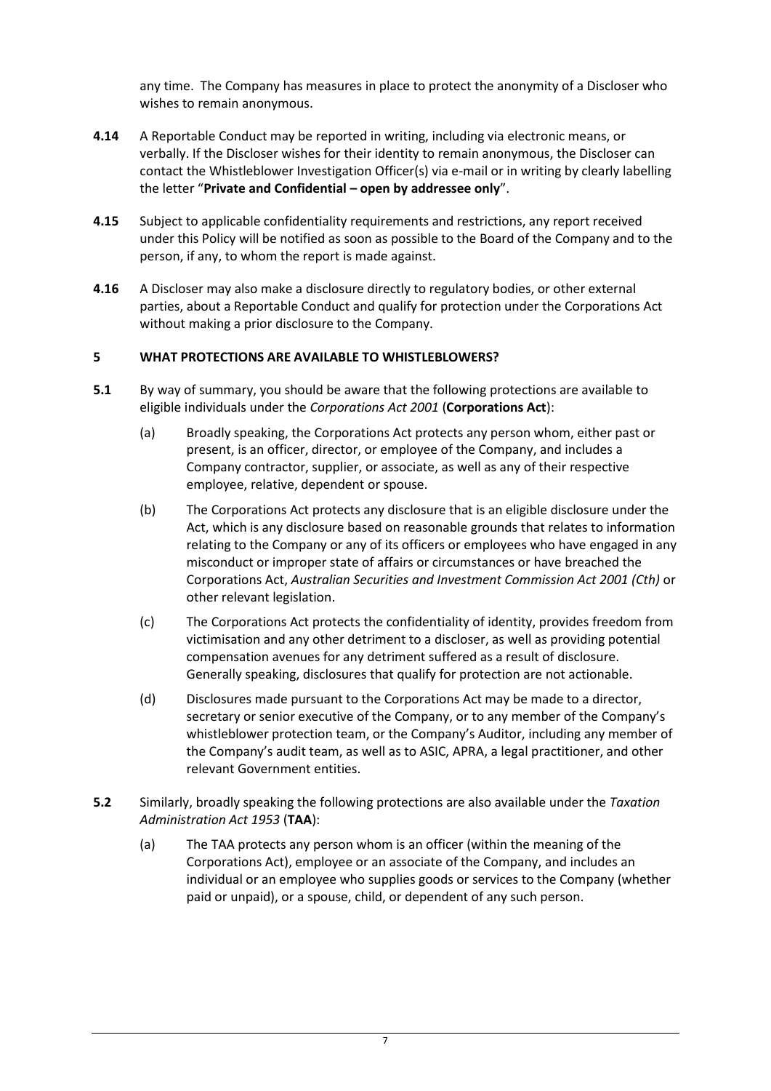any time. The Company has measures in place to protect the anonymity of a Discloser who wishes to remain anonymous.

- **4.14** A Reportable Conduct may be reported in writing, including via electronic means, or verbally. If the Discloser wishes for their identity to remain anonymous, the Discloser can contact the Whistleblower Investigation Officer(s) via e-mail or in writing by clearly labelling the letter "**Private and Confidential – open by addressee only**".
- **4.15** Subject to applicable confidentiality requirements and restrictions, any report received under this Policy will be notified as soon as possible to the Board of the Company and to the person, if any, to whom the report is made against.
- **4.16** A Discloser may also make a disclosure directly to regulatory bodies, or other external parties, about a Reportable Conduct and qualify for protection under the Corporations Act without making a prior disclosure to the Company.

#### <span id="page-6-0"></span>**5 WHAT PROTECTIONS ARE AVAILABLE TO WHISTLEBLOWERS?**

- **5.1** By way of summary, you should be aware that the following protections are available to eligible individuals under the *Corporations Act 2001* (**Corporations Act**):
	- (a) Broadly speaking, the Corporations Act protects any person whom, either past or present, is an officer, director, or employee of the Company, and includes a Company contractor, supplier, or associate, as well as any of their respective employee, relative, dependent or spouse.
	- (b) The Corporations Act protects any disclosure that is an eligible disclosure under the Act, which is any disclosure based on reasonable grounds that relates to information relating to the Company or any of its officers or employees who have engaged in any misconduct or improper state of affairs or circumstances or have breached the Corporations Act, *Australian Securities and Investment Commission Act 2001 (Cth)* or other relevant legislation.
	- (c) The Corporations Act protects the confidentiality of identity, provides freedom from victimisation and any other detriment to a discloser, as well as providing potential compensation avenues for any detriment suffered as a result of disclosure. Generally speaking, disclosures that qualify for protection are not actionable.
	- (d) Disclosures made pursuant to the Corporations Act may be made to a director, secretary or senior executive of the Company, or to any member of the Company's whistleblower protection team, or the Company's Auditor, including any member of the Company's audit team, as well as to ASIC, APRA, a legal practitioner, and other relevant Government entities.
- **5.2** Similarly, broadly speaking the following protections are also available under the *Taxation Administration Act 1953* (**TAA**):
	- (a) The TAA protects any person whom is an officer (within the meaning of the Corporations Act), employee or an associate of the Company, and includes an individual or an employee who supplies goods or services to the Company (whether paid or unpaid), or a spouse, child, or dependent of any such person.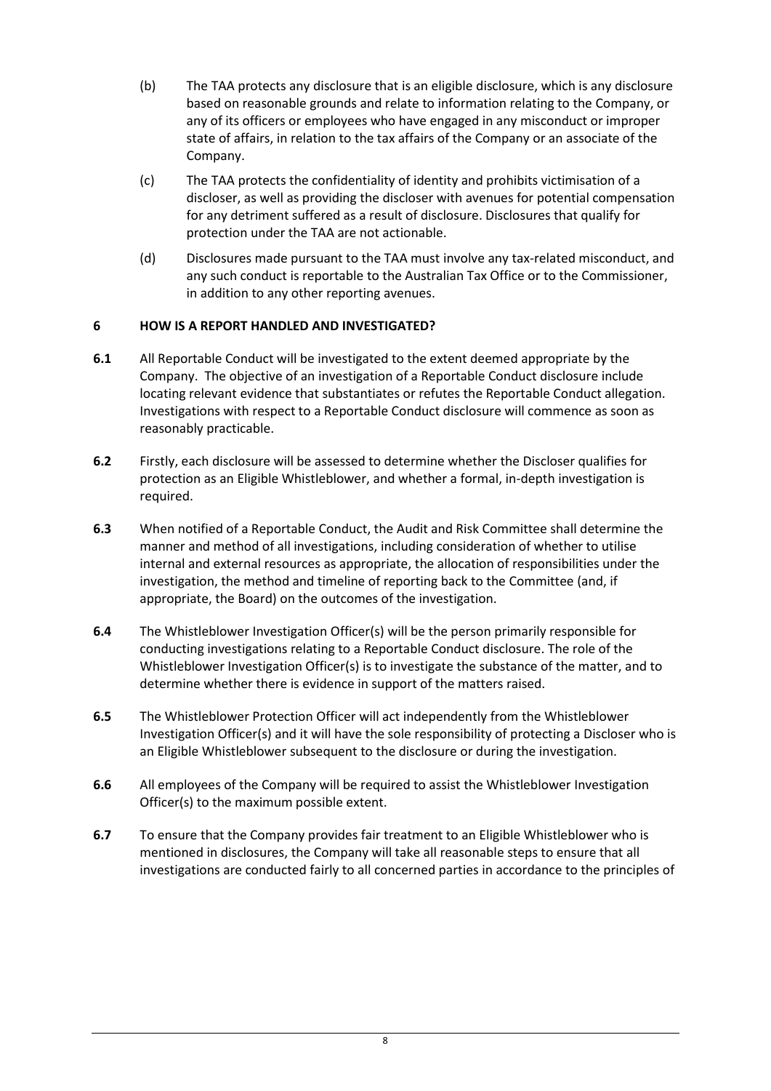- (b) The TAA protects any disclosure that is an eligible disclosure, which is any disclosure based on reasonable grounds and relate to information relating to the Company, or any of its officers or employees who have engaged in any misconduct or improper state of affairs, in relation to the tax affairs of the Company or an associate of the Company.
- (c) The TAA protects the confidentiality of identity and prohibits victimisation of a discloser, as well as providing the discloser with avenues for potential compensation for any detriment suffered as a result of disclosure. Disclosures that qualify for protection under the TAA are not actionable.
- (d) Disclosures made pursuant to the TAA must involve any tax-related misconduct, and any such conduct is reportable to the Australian Tax Office or to the Commissioner, in addition to any other reporting avenues.

## <span id="page-7-0"></span>**6 HOW IS A REPORT HANDLED AND INVESTIGATED?**

- **6.1** All Reportable Conduct will be investigated to the extent deemed appropriate by the Company. The objective of an investigation of a Reportable Conduct disclosure include locating relevant evidence that substantiates or refutes the Reportable Conduct allegation. Investigations with respect to a Reportable Conduct disclosure will commence as soon as reasonably practicable.
- **6.2** Firstly, each disclosure will be assessed to determine whether the Discloser qualifies for protection as an Eligible Whistleblower, and whether a formal, in-depth investigation is required.
- **6.3** When notified of a Reportable Conduct, the Audit and Risk Committee shall determine the manner and method of all investigations, including consideration of whether to utilise internal and external resources as appropriate, the allocation of responsibilities under the investigation, the method and timeline of reporting back to the Committee (and, if appropriate, the Board) on the outcomes of the investigation.
- **6.4** The Whistleblower Investigation Officer(s) will be the person primarily responsible for conducting investigations relating to a Reportable Conduct disclosure. The role of the Whistleblower Investigation Officer(s) is to investigate the substance of the matter, and to determine whether there is evidence in support of the matters raised.
- **6.5** The Whistleblower Protection Officer will act independently from the Whistleblower Investigation Officer(s) and it will have the sole responsibility of protecting a Discloser who is an Eligible Whistleblower subsequent to the disclosure or during the investigation.
- **6.6** All employees of the Company will be required to assist the Whistleblower Investigation Officer(s) to the maximum possible extent.
- **6.7** To ensure that the Company provides fair treatment to an Eligible Whistleblower who is mentioned in disclosures, the Company will take all reasonable steps to ensure that all investigations are conducted fairly to all concerned parties in accordance to the principles of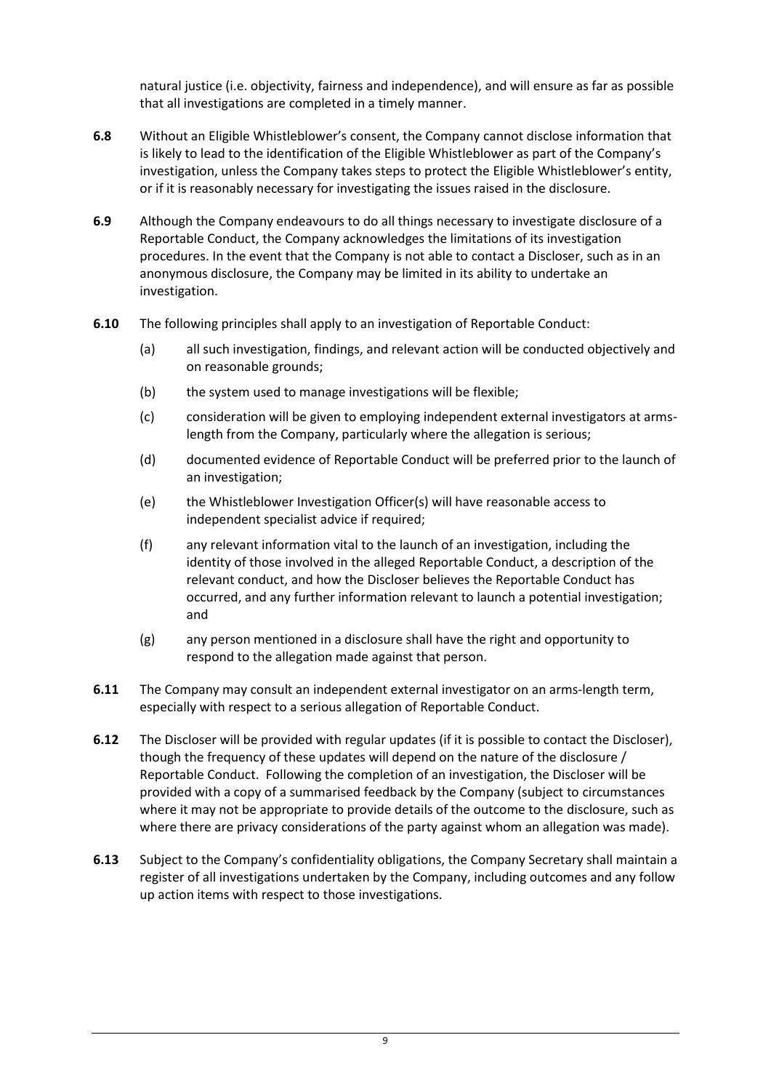natural justice (i.e. objectivity, fairness and independence), and will ensure as far as possible that all investigations are completed in a timely manner.

- **6.8** Without an Eligible Whistleblower's consent, the Company cannot disclose information that is likely to lead to the identification of the Eligible Whistleblower as part of the Company's investigation, unless the Company takes steps to protect the Eligible Whistleblower's entity, or if it is reasonably necessary for investigating the issues raised in the disclosure.
- **6.9** Although the Company endeavours to do all things necessary to investigate disclosure of a Reportable Conduct, the Company acknowledges the limitations of its investigation procedures. In the event that the Company is not able to contact a Discloser, such as in an anonymous disclosure, the Company may be limited in its ability to undertake an investigation.
- **6.10** The following principles shall apply to an investigation of Reportable Conduct:
	- (a) all such investigation, findings, and relevant action will be conducted objectively and on reasonable grounds;
	- (b) the system used to manage investigations will be flexible;
	- (c) consideration will be given to employing independent external investigators at armslength from the Company, particularly where the allegation is serious;
	- (d) documented evidence of Reportable Conduct will be preferred prior to the launch of an investigation;
	- (e) the Whistleblower Investigation Officer(s) will have reasonable access to independent specialist advice if required;
	- (f) any relevant information vital to the launch of an investigation, including the identity of those involved in the alleged Reportable Conduct, a description of the relevant conduct, and how the Discloser believes the Reportable Conduct has occurred, and any further information relevant to launch a potential investigation; and
	- (g) any person mentioned in a disclosure shall have the right and opportunity to respond to the allegation made against that person.
- **6.11** The Company may consult an independent external investigator on an arms-length term, especially with respect to a serious allegation of Reportable Conduct.
- **6.12** The Discloser will be provided with regular updates (if it is possible to contact the Discloser), though the frequency of these updates will depend on the nature of the disclosure / Reportable Conduct. Following the completion of an investigation, the Discloser will be provided with a copy of a summarised feedback by the Company (subject to circumstances where it may not be appropriate to provide details of the outcome to the disclosure, such as where there are privacy considerations of the party against whom an allegation was made).
- **6.13** Subject to the Company's confidentiality obligations, the Company Secretary shall maintain a register of all investigations undertaken by the Company, including outcomes and any follow up action items with respect to those investigations.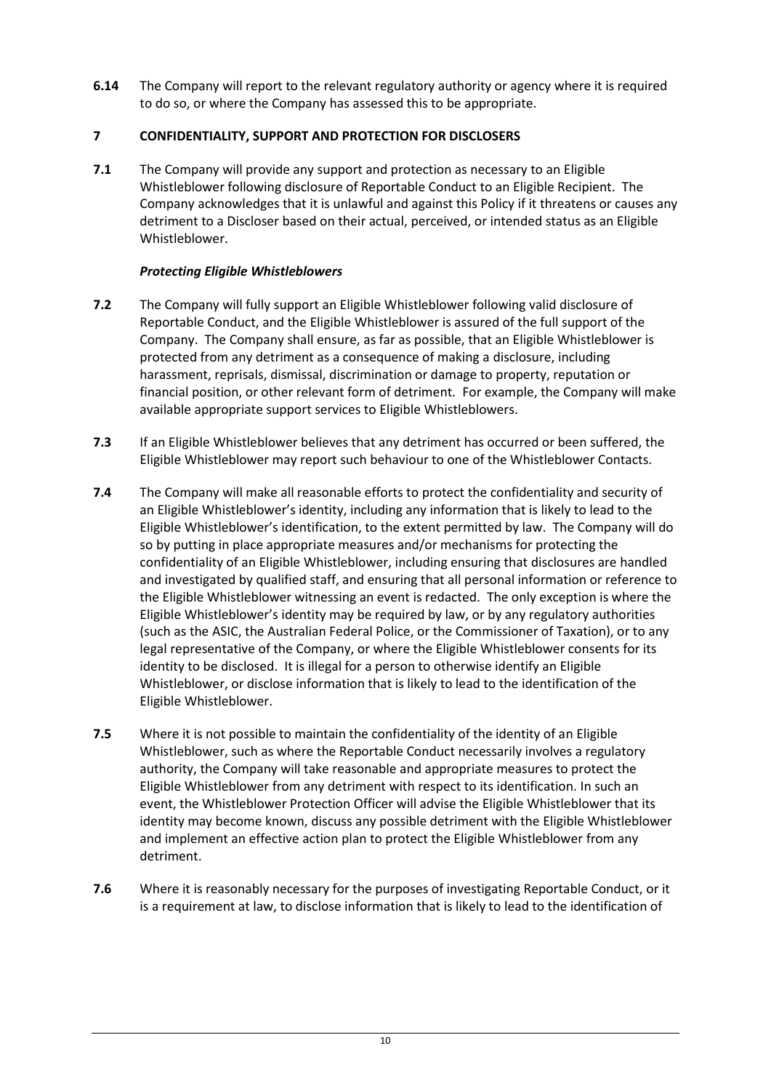**6.14** The Company will report to the relevant regulatory authority or agency where it is required to do so, or where the Company has assessed this to be appropriate.

## <span id="page-9-0"></span>**7 CONFIDENTIALITY, SUPPORT AND PROTECTION FOR DISCLOSERS**

**7.1** The Company will provide any support and protection as necessary to an Eligible Whistleblower following disclosure of Reportable Conduct to an Eligible Recipient. The Company acknowledges that it is unlawful and against this Policy if it threatens or causes any detriment to a Discloser based on their actual, perceived, or intended status as an Eligible Whistleblower.

## *Protecting Eligible Whistleblowers*

- **7.2** The Company will fully support an Eligible Whistleblower following valid disclosure of Reportable Conduct, and the Eligible Whistleblower is assured of the full support of the Company. The Company shall ensure, as far as possible, that an Eligible Whistleblower is protected from any detriment as a consequence of making a disclosure, including harassment, reprisals, dismissal, discrimination or damage to property, reputation or financial position, or other relevant form of detriment. For example, the Company will make available appropriate support services to Eligible Whistleblowers.
- **7.3** If an Eligible Whistleblower believes that any detriment has occurred or been suffered, the Eligible Whistleblower may report such behaviour to one of the Whistleblower Contacts.
- **7.4** The Company will make all reasonable efforts to protect the confidentiality and security of an Eligible Whistleblower's identity, including any information that is likely to lead to the Eligible Whistleblower's identification, to the extent permitted by law. The Company will do so by putting in place appropriate measures and/or mechanisms for protecting the confidentiality of an Eligible Whistleblower, including ensuring that disclosures are handled and investigated by qualified staff, and ensuring that all personal information or reference to the Eligible Whistleblower witnessing an event is redacted. The only exception is where the Eligible Whistleblower's identity may be required by law, or by any regulatory authorities (such as the ASIC, the Australian Federal Police, or the Commissioner of Taxation), or to any legal representative of the Company, or where the Eligible Whistleblower consents for its identity to be disclosed. It is illegal for a person to otherwise identify an Eligible Whistleblower, or disclose information that is likely to lead to the identification of the Eligible Whistleblower.
- **7.5** Where it is not possible to maintain the confidentiality of the identity of an Eligible Whistleblower, such as where the Reportable Conduct necessarily involves a regulatory authority, the Company will take reasonable and appropriate measures to protect the Eligible Whistleblower from any detriment with respect to its identification. In such an event, the Whistleblower Protection Officer will advise the Eligible Whistleblower that its identity may become known, discuss any possible detriment with the Eligible Whistleblower and implement an effective action plan to protect the Eligible Whistleblower from any detriment.
- **7.6** Where it is reasonably necessary for the purposes of investigating Reportable Conduct, or it is a requirement at law, to disclose information that is likely to lead to the identification of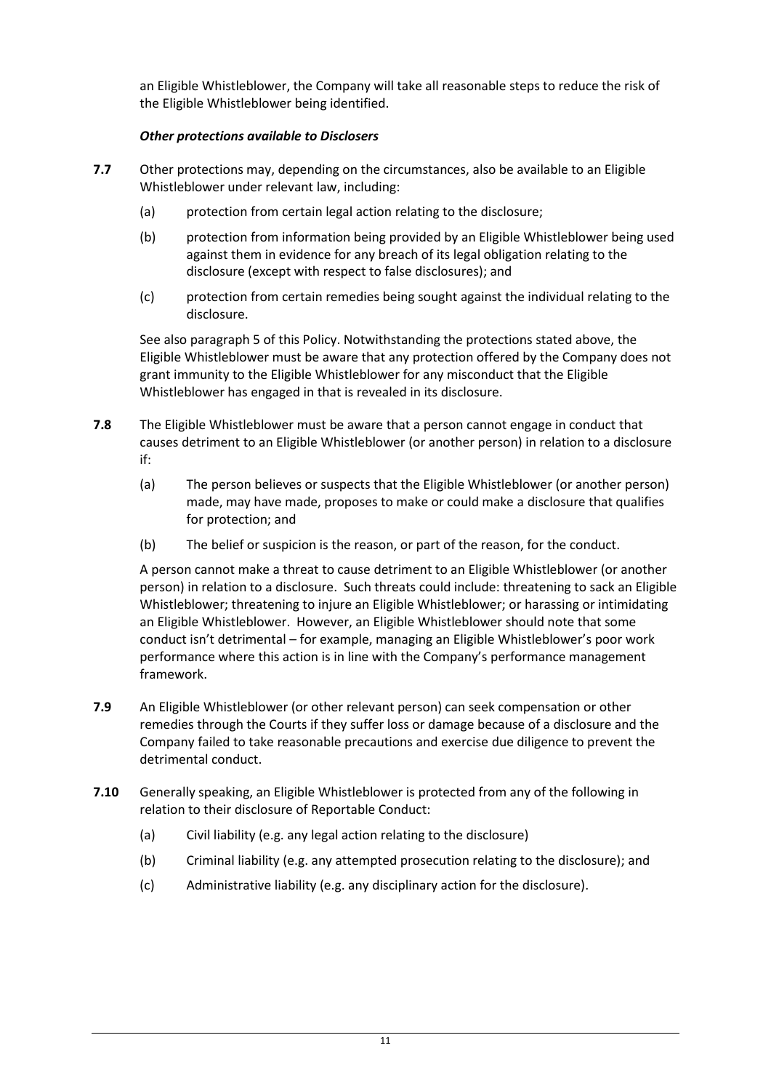an Eligible Whistleblower, the Company will take all reasonable steps to reduce the risk of the Eligible Whistleblower being identified.

## *Other protections available to Disclosers*

- **7.7** Other protections may, depending on the circumstances, also be available to an Eligible Whistleblower under relevant law, including:
	- (a) protection from certain legal action relating to the disclosure;
	- (b) protection from information being provided by an Eligible Whistleblower being used against them in evidence for any breach of its legal obligation relating to the disclosure (except with respect to false disclosures); and
	- (c) protection from certain remedies being sought against the individual relating to the disclosure.

See also paragraph [5](#page-6-0) of this Policy. Notwithstanding the protections stated above, the Eligible Whistleblower must be aware that any protection offered by the Company does not grant immunity to the Eligible Whistleblower for any misconduct that the Eligible Whistleblower has engaged in that is revealed in its disclosure.

- **7.8** The Eligible Whistleblower must be aware that a person cannot engage in conduct that causes detriment to an Eligible Whistleblower (or another person) in relation to a disclosure if:
	- (a) The person believes or suspects that the Eligible Whistleblower (or another person) made, may have made, proposes to make or could make a disclosure that qualifies for protection; and
	- (b) The belief or suspicion is the reason, or part of the reason, for the conduct.

A person cannot make a threat to cause detriment to an Eligible Whistleblower (or another person) in relation to a disclosure. Such threats could include: threatening to sack an Eligible Whistleblower; threatening to injure an Eligible Whistleblower; or harassing or intimidating an Eligible Whistleblower. However, an Eligible Whistleblower should note that some conduct isn't detrimental – for example, managing an Eligible Whistleblower's poor work performance where this action is in line with the Company's performance management framework.

- **7.9** An Eligible Whistleblower (or other relevant person) can seek compensation or other remedies through the Courts if they suffer loss or damage because of a disclosure and the Company failed to take reasonable precautions and exercise due diligence to prevent the detrimental conduct.
- **7.10** Generally speaking, an Eligible Whistleblower is protected from any of the following in relation to their disclosure of Reportable Conduct:
	- (a) Civil liability (e.g. any legal action relating to the disclosure)
	- (b) Criminal liability (e.g. any attempted prosecution relating to the disclosure); and
	- (c) Administrative liability (e.g. any disciplinary action for the disclosure).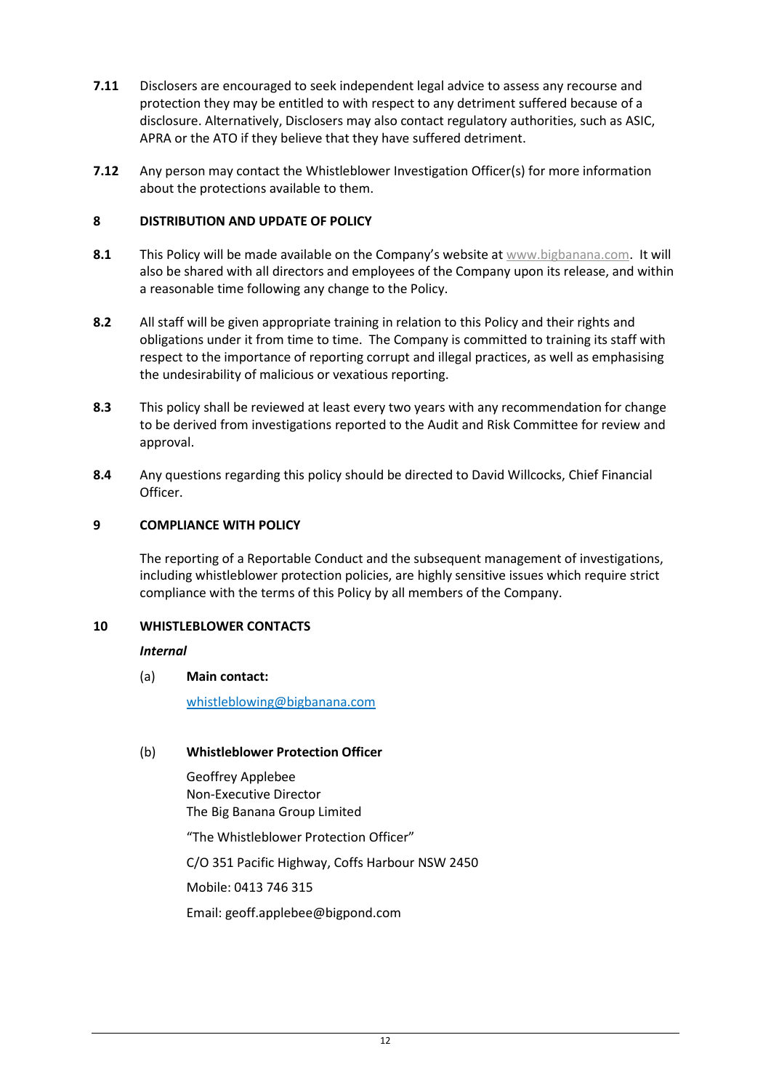- **7.11** Disclosers are encouraged to seek independent legal advice to assess any recourse and protection they may be entitled to with respect to any detriment suffered because of a disclosure. Alternatively, Disclosers may also contact regulatory authorities, such as ASIC, APRA or the ATO if they believe that they have suffered detriment.
- **7.12** Any person may contact the Whistleblower Investigation Officer(s) for more information about the protections available to them.

#### <span id="page-11-0"></span>**8 DISTRIBUTION AND UPDATE OF POLICY**

- **8.1** This Policy will be made available on the Company's website at [www.bigbanana.com.](http://www.bigbanana.com/) It will also be shared with all directors and employees of the Company upon its release, and within a reasonable time following any change to the Policy.
- **8.2** All staff will be given appropriate training in relation to this Policy and their rights and obligations under it from time to time. The Company is committed to training its staff with respect to the importance of reporting corrupt and illegal practices, as well as emphasising the undesirability of malicious or vexatious reporting.
- **8.3** This policy shall be reviewed at least every two years with any recommendation for change to be derived from investigations reported to the Audit and Risk Committee for review and approval.
- **8.4** Any questions regarding this policy should be directed to David Willcocks, Chief Financial Officer.

## <span id="page-11-1"></span>**9 COMPLIANCE WITH POLICY**

The reporting of a Reportable Conduct and the subsequent management of investigations, including whistleblower protection policies, are highly sensitive issues which require strict compliance with the terms of this Policy by all members of the Company.

#### <span id="page-11-2"></span>**10 WHISTLEBLOWER CONTACTS**

#### *Internal*

#### (a) **Main contact:**

[whistleblowing@bigbanana.com](mailto:whistleblowing@bigbanana.com)

#### (b) **Whistleblower Protection Officer**

Geoffrey Applebee Non-Executive Director The Big Banana Group Limited "The Whistleblower Protection Officer" C/O 351 Pacific Highway, Coffs Harbour NSW 2450 Mobile: 0413 746 315

Email: geoff.applebee@bigpond.com